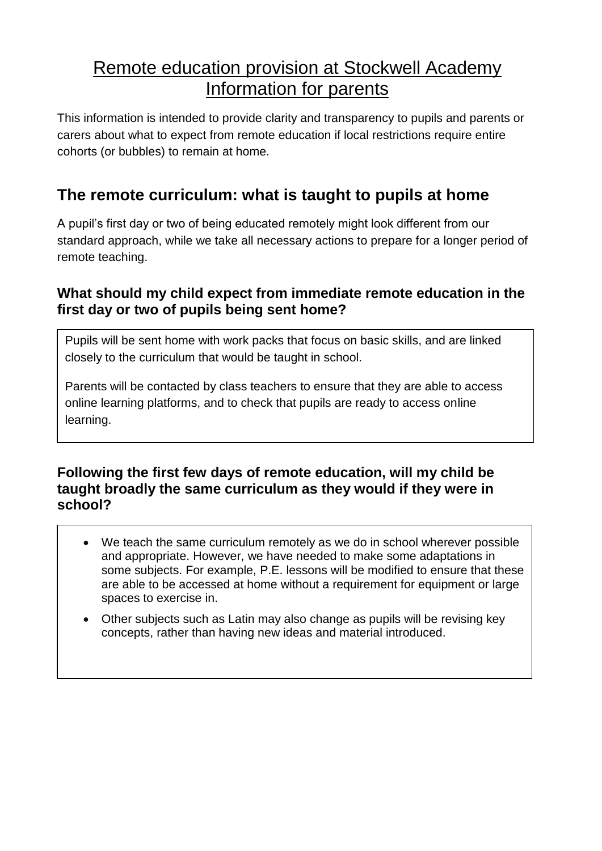# Remote education provision at Stockwell Academy Information for parents

This information is intended to provide clarity and transparency to pupils and parents or carers about what to expect from remote education if local restrictions require entire cohorts (or bubbles) to remain at home.

## **The remote curriculum: what is taught to pupils at home**

A pupil's first day or two of being educated remotely might look different from our standard approach, while we take all necessary actions to prepare for a longer period of remote teaching.

### **What should my child expect from immediate remote education in the first day or two of pupils being sent home?**

Pupils will be sent home with work packs that focus on basic skills, and are linked closely to the curriculum that would be taught in school.

Parents will be contacted by class teachers to ensure that they are able to access online learning platforms, and to check that pupils are ready to access online learning.

#### **Following the first few days of remote education, will my child be taught broadly the same curriculum as they would if they were in school?**

- We teach the same curriculum remotely as we do in school wherever possible and appropriate. However, we have needed to make some adaptations in some subjects. For example, P.E. lessons will be modified to ensure that these are able to be accessed at home without a requirement for equipment or large spaces to exercise in.
- Other subjects such as Latin may also change as pupils will be revising key concepts, rather than having new ideas and material introduced.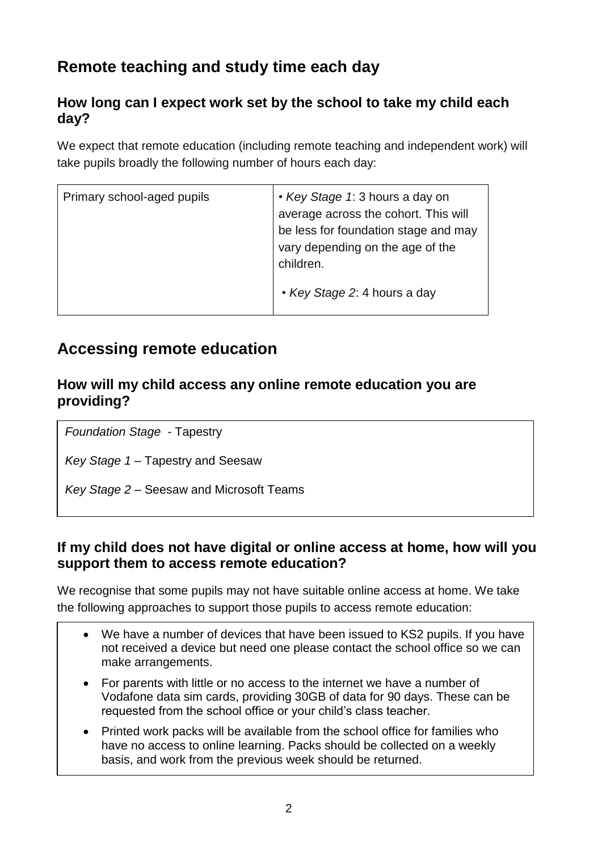# **Remote teaching and study time each day**

#### **How long can I expect work set by the school to take my child each day?**

We expect that remote education (including remote teaching and independent work) will take pupils broadly the following number of hours each day:

| Primary school-aged pupils | • Key Stage 1: 3 hours a day on<br>average across the cohort. This will<br>be less for foundation stage and may<br>vary depending on the age of the<br>children. |
|----------------------------|------------------------------------------------------------------------------------------------------------------------------------------------------------------|
|                            | • Key Stage 2: 4 hours a day                                                                                                                                     |

## **Accessing remote education**

#### **How will my child access any online remote education you are providing?**

*Foundation Stage* - Tapestry

*Key Stage 1* – Tapestry and Seesaw

*Key Stage 2* – Seesaw and Microsoft Teams

#### **If my child does not have digital or online access at home, how will you support them to access remote education?**

We recognise that some pupils may not have suitable online access at home. We take the following approaches to support those pupils to access remote education:

- We have a number of devices that have been issued to KS2 pupils. If you have not received a device but need one please contact the school office so we can make arrangements.
- For parents with little or no access to the internet we have a number of Vodafone data sim cards, providing 30GB of data for 90 days. These can be requested from the school office or your child's class teacher.
- Printed work packs will be available from the school office for families who have no access to online learning. Packs should be collected on a weekly basis, and work from the previous week should be returned.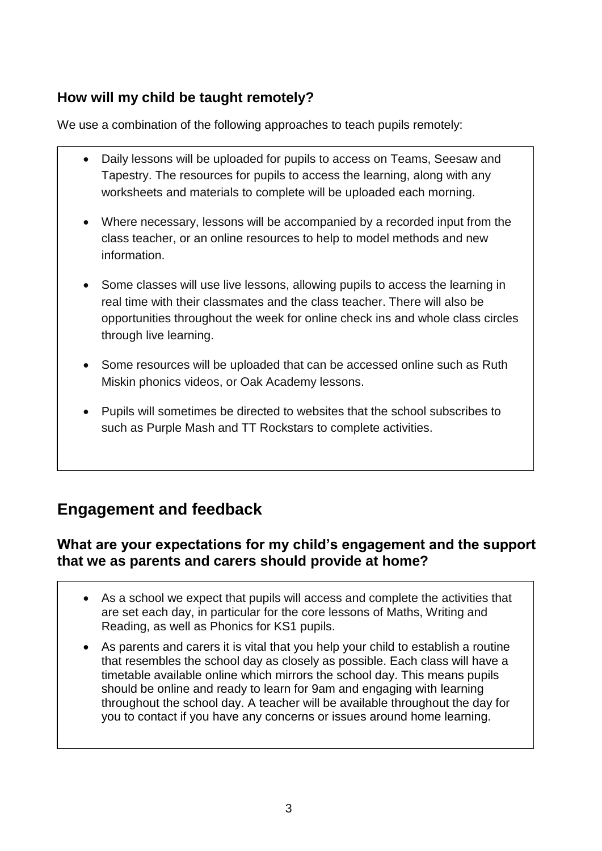### **How will my child be taught remotely?**

We use a combination of the following approaches to teach pupils remotely:

- Daily lessons will be uploaded for pupils to access on Teams, Seesaw and Tapestry. The resources for pupils to access the learning, along with any worksheets and materials to complete will be uploaded each morning.
- Where necessary, lessons will be accompanied by a recorded input from the class teacher, or an online resources to help to model methods and new information.
- Some classes will use live lessons, allowing pupils to access the learning in real time with their classmates and the class teacher. There will also be opportunities throughout the week for online check ins and whole class circles through live learning.
- Some resources will be uploaded that can be accessed online such as Ruth Miskin phonics videos, or Oak Academy lessons.
- Pupils will sometimes be directed to websites that the school subscribes to such as Purple Mash and TT Rockstars to complete activities.

## **Engagement and feedback**

### **What are your expectations for my child's engagement and the support that we as parents and carers should provide at home?**

- As a school we expect that pupils will access and complete the activities that are set each day, in particular for the core lessons of Maths, Writing and Reading, as well as Phonics for KS1 pupils.
- As parents and carers it is vital that you help your child to establish a routine that resembles the school day as closely as possible. Each class will have a timetable available online which mirrors the school day. This means pupils should be online and ready to learn for 9am and engaging with learning throughout the school day. A teacher will be available throughout the day for you to contact if you have any concerns or issues around home learning.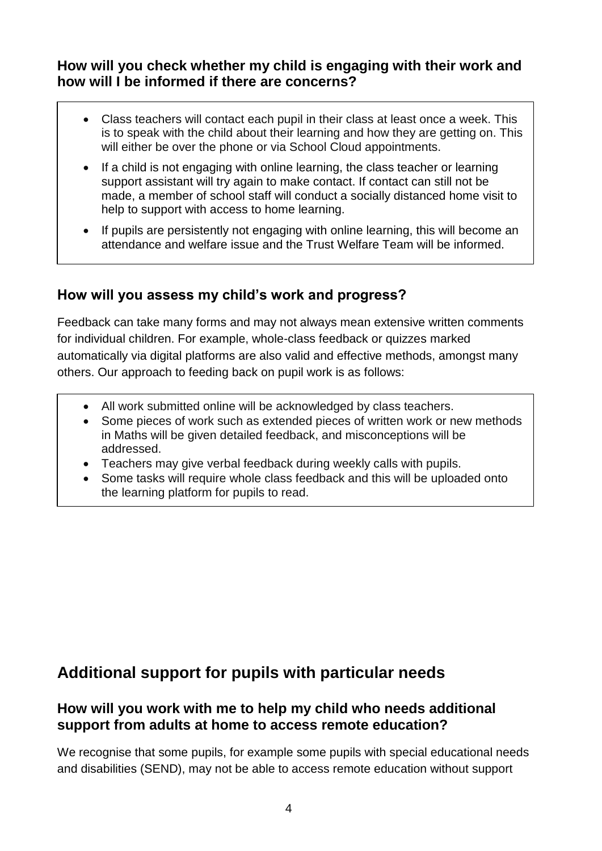#### **How will you check whether my child is engaging with their work and how will I be informed if there are concerns?**

- Class teachers will contact each pupil in their class at least once a week. This is to speak with the child about their learning and how they are getting on. This will either be over the phone or via School Cloud appointments.
- If a child is not engaging with online learning, the class teacher or learning support assistant will try again to make contact. If contact can still not be made, a member of school staff will conduct a socially distanced home visit to help to support with access to home learning.
- If pupils are persistently not engaging with online learning, this will become an attendance and welfare issue and the Trust Welfare Team will be informed.

### **How will you assess my child's work and progress?**

Ī

i.

Feedback can take many forms and may not always mean extensive written comments for individual children. For example, whole-class feedback or quizzes marked automatically via digital platforms are also valid and effective methods, amongst many others. Our approach to feeding back on pupil work is as follows:

- All work submitted online will be acknowledged by class teachers.
- Some pieces of work such as extended pieces of written work or new methods in Maths will be given detailed feedback, and misconceptions will be addressed.
- Teachers may give verbal feedback during weekly calls with pupils.
- Some tasks will require whole class feedback and this will be uploaded onto the learning platform for pupils to read.

## **Additional support for pupils with particular needs**

#### **How will you work with me to help my child who needs additional support from adults at home to access remote education?**

We recognise that some pupils, for example some pupils with special educational needs and disabilities (SEND), may not be able to access remote education without support